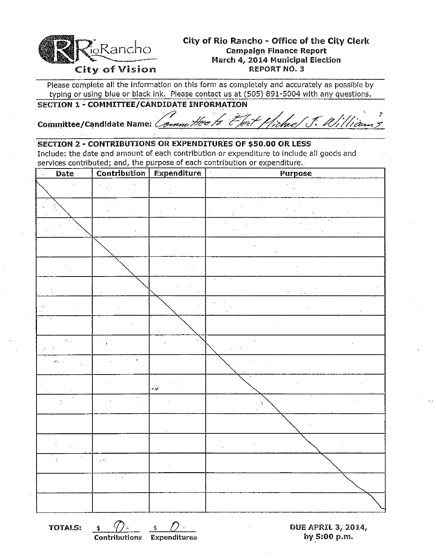

# City of Rio Rancho - Office of the City Clerk  $R_{\rm{O}}$   $\rm{R}$   $\rm{C}$   $\rm{R}$   $\rm{C}$   $\rm{C}$   $\rm{C}$   $\rm{C}$   $\rm{C}$   $\rm{C}$   $\rm{C}$   $\rm{C}$   $\rm{C}$   $\rm{C}$   $\rm{C}$   $\rm{C}$   $\rm{C}$   $\rm{C}$   $\rm{C}$   $\rm{C}$   $\rm{C}$   $\rm{C}$   $\rm{C}$   $\rm{C}$   $\rm{C}$   $\rm{C}$   $\rm{C}$   $\rm$ March 4, 2014 Municipal Election

Please complete all the information on this form as completely and accurately as possible by typing or using blue or black ink, Please contact us at (505) 891-5004 with any questions,

SECTION 1 - COMMITTEE/CANDIDATE INFORMATION<br>Committee/Candidate Name: *Committee to Effect Michae/ J. William 3* 

### SECTION 2 - CONTRIBUTIONS OR EXPENDITURES OF \$50.00 OR LESS

Include: the date and amount of each contribution or expenditure to include all goods and services contributed; and, the purpose of each contribution or expenditure,.

| Date                                    |                                | Contribution Expenditure   | <b>Purpose</b> |
|-----------------------------------------|--------------------------------|----------------------------|----------------|
|                                         |                                |                            |                |
|                                         |                                |                            |                |
|                                         |                                |                            |                |
|                                         |                                |                            |                |
|                                         |                                |                            |                |
|                                         |                                |                            | ۰,             |
|                                         |                                |                            |                |
|                                         |                                |                            |                |
| $\mathcal{A}_{\mathcal{A},\mathcal{A}}$ |                                |                            |                |
| $\mathcal{F}(\mathcal{C})$ .            | $\mathbf{r}$<br>$\overline{a}$ |                            |                |
|                                         |                                | $\hat{\rho}_A^{\dagger} e$ |                |
|                                         |                                |                            | Ą.             |
|                                         |                                |                            |                |
|                                         |                                |                            |                |
| $\overline{\phantom{a}}$<br>÷           | $\alpha$ y .                   |                            |                |
|                                         |                                |                            |                |
|                                         |                                |                            |                |

TOTALS: \$ 0- \$ *0-* DUE APRIL 3," 2014, by  $5:00$  p.m.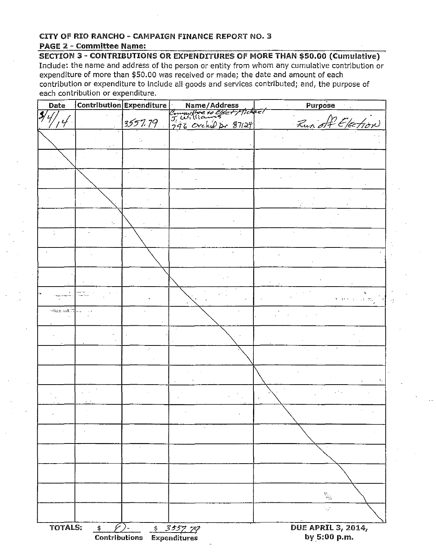### CITY OF RIO RANCHO - CAMPAIGN FINANCE REPORT NO.3 PAGE 2 - Committee Name:

SECTION 3 - CONTRIBUTIONS OR EXPENDITURES OF MORE THAN \$50.00 (Cumulative) Include: the name and address of the person or entity from whom any cumulative contribution or expenditure of more than \$50.00 was received or made; the date and amount of each contribution or expenditure to include all goods and services contributed; and, the purpose of each contribution or expenditure.

| Date                       |               | Contribution Expenditure |                                           | Purpose                                   |
|----------------------------|---------------|--------------------------|-------------------------------------------|-------------------------------------------|
| $\mathbf{f}$               |               |                          | Name/Address<br>Committee to Elect/Ticket |                                           |
| Ϋ́                         |               | 3557.79                  | 296 Orchid Dr 87124                       | Run off Election                          |
|                            |               |                          |                                           |                                           |
|                            |               |                          |                                           |                                           |
|                            |               |                          |                                           |                                           |
|                            |               |                          |                                           |                                           |
|                            |               |                          |                                           |                                           |
|                            |               |                          |                                           |                                           |
|                            |               |                          |                                           |                                           |
|                            |               |                          |                                           |                                           |
|                            |               |                          |                                           |                                           |
|                            |               |                          |                                           |                                           |
|                            |               |                          |                                           |                                           |
|                            |               |                          |                                           |                                           |
|                            |               |                          |                                           |                                           |
|                            |               |                          |                                           |                                           |
|                            |               |                          |                                           |                                           |
|                            |               |                          |                                           |                                           |
|                            |               |                          |                                           |                                           |
| <b>NOVA ARTIST THE</b>     |               |                          |                                           | roma di Sig                               |
| ال ا <u>لأسياح به ي</u> πي |               |                          |                                           |                                           |
|                            |               |                          |                                           |                                           |
|                            |               |                          |                                           |                                           |
|                            |               |                          |                                           |                                           |
|                            |               | ÷.                       |                                           |                                           |
|                            |               |                          |                                           |                                           |
|                            |               |                          |                                           |                                           |
|                            |               |                          |                                           |                                           |
|                            |               |                          |                                           |                                           |
|                            |               |                          |                                           |                                           |
|                            |               |                          |                                           |                                           |
|                            |               |                          |                                           |                                           |
|                            |               |                          | $\lambda$                                 |                                           |
|                            |               |                          |                                           |                                           |
|                            |               | $\epsilon$               |                                           |                                           |
|                            |               |                          |                                           |                                           |
|                            |               |                          |                                           |                                           |
|                            |               |                          |                                           |                                           |
|                            |               |                          |                                           |                                           |
|                            |               |                          |                                           | $\mathbb{Z}_5$                            |
|                            |               |                          |                                           | $\mathbb{Z}_2^{\times}$                   |
|                            |               |                          |                                           |                                           |
|                            |               |                          |                                           |                                           |
| <b>TOTALS:</b>             | $\frac{1}{2}$ | Contributions            | 5 3557.79<br><b>Expenditures</b>          | <b>DUE APRIL 3, 2014,</b><br>by 5:00 p.m. |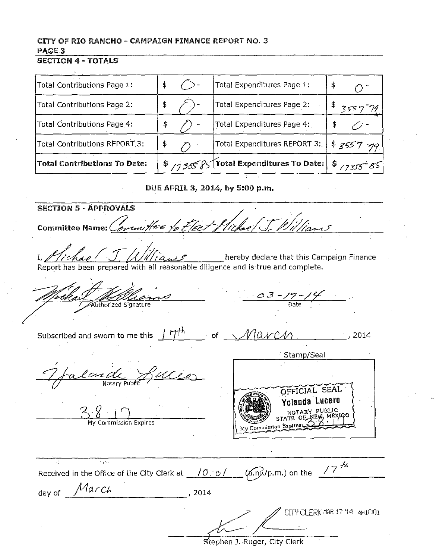## CITY OF RIO RANCHO - CAMPAIGN FINANCE REPORT NO. 3 PAGE<sub>3</sub>

#### **SECTION 4 - TOTALS**

| Total Contributions Page 1:         | \$ | Total Expenditures Page 1:                                | \$          |
|-------------------------------------|----|-----------------------------------------------------------|-------------|
| Total Contributions Page 2:         | \$ | Total Expenditures Page 2:                                | \$355779    |
| Total Contributions Page 4:         | \$ | Total Expenditures Page 4:                                |             |
| Total Contributions REPORT 3:       | \$ | Total Expenditures REPORT 3.                              | $3557 - 79$ |
| <b>Total Contributions To Date:</b> |    | \$ / 1355 85 Total Expenditures To Date: $ $ \$ / 1355 85 |             |

DUE APRIL 3, 2014, by 5:00 p.m.

**SECTION 5 - APPROVALS** Committee Name: Committee to Elect Pliche (J. William hereby declare that this Campaign Finance Report has been prepared with all reasonable diligence and is true and complete.  $-0.3 - 17 - 14$ Authorized Signature Subscribed and sworn to me this  $\int \frac{H^{1}}{h}$ of March  $^{+}$ , 2014 Stamp/Seal  $\frac{c_{c2}d}{\frac{1}{\frac{1}{c_{c2}d_1}}$ OFFICIAL SEAL Yolanda Lucero NOTARY PUBL OF NEW M **STATE** ommission Expires My Commission Expires:  $\sim 100$ Received in the Office of the City Clerk at  $\frac{10.01}{\sqrt{4.0}}$  (a.m.) on the  $\frac{17^{44}}{40}$ day of  $\n *March*\n *2014*\n$ CITY CLERK MAR 17 '14 AM 10:01

Stephen J. Ruger, City Clerk